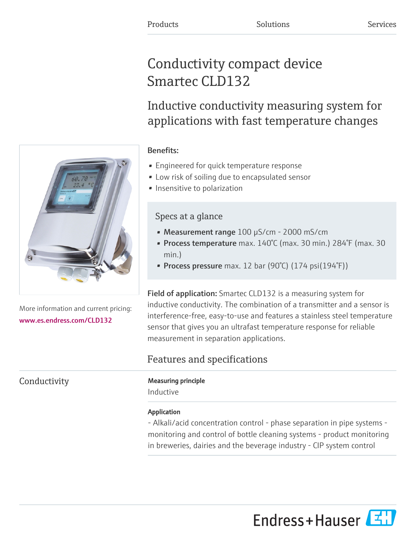# Conductivity compact device Smartec CLD132

Inductive conductivity measuring system for applications with fast temperature changes

# Benefits:

- Engineered for quick temperature response
- Low risk of soiling due to encapsulated sensor
- Insensitive to polarization

# Specs at a glance

- Measurement range 100 µS/cm 2000 mS/cm
- Process temperature max. 140°C (max. 30 min.) 284°F (max. 30 min.)
- Process pressure max. 12 bar (90°C)  $(174 \text{ psi}(194\text{°F}))$

Field of application: Smartec CLD132 is a measuring system for inductive conductivity. The combination of a transmitter and a sensor is interference-free, easy-to-use and features a stainless steel temperature sensor that gives you an ultrafast temperature response for reliable measurement in separation applications.

# Features and specifications

# Conductivity **Measuring principle**

Inductive

## Application

- Alkali/acid concentration control - phase separation in pipe systems monitoring and control of bottle cleaning systems - product monitoring in breweries, dairies and the beverage industry - CIP system control



More information and current pricing: [www.es.endress.com/CLD132](https://www.es.endress.com/CLD132)

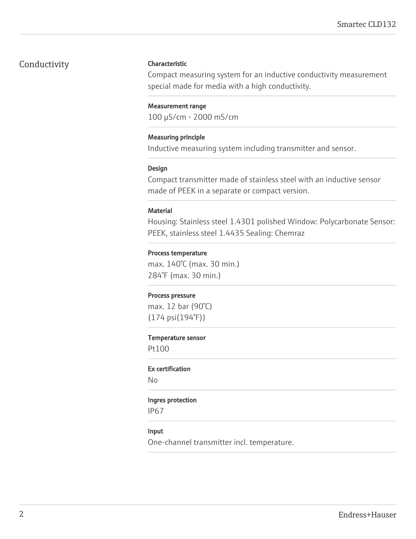# Conductivity **Characteristic**

Compact measuring system for an inductive conductivity measurement special made for media with a high conductivity.

#### Measurement range

100 µS/cm - 2000 mS/cm

#### Measuring principle

Inductive measuring system including transmitter and sensor.

#### Design

Compact transmitter made of stainless steel with an inductive sensor made of PEEK in a separate or compact version.

#### Material

Housing: Stainless steel 1.4301 polished Window: Polycarbonate Sensor: PEEK, stainless steel 1.4435 Sealing: Chemraz

#### Process temperature

max. 140°C (max. 30 min.) 284°F (max. 30 min.)

#### Process pressure

max. 12 bar (90°C) (174 psi(194°F))

#### Temperature sensor

Pt100

### Ex certification

No

### Ingres protection

IP67

### Input

One-channel transmitter incl. temperature.